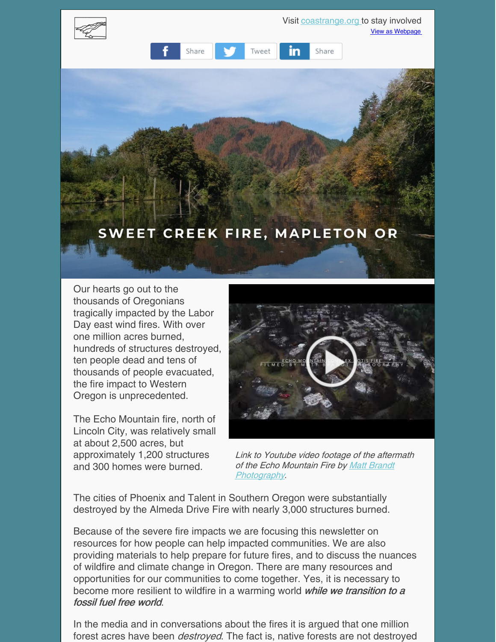

Our hearts go out to the thousands of Oregonians tragically impacted by the Labor Day east wind fires. With over one million acres burned, hundreds of structures destroyed, ten people dead and tens of thousands of people evacuated, the fire impact to Western Oregon is unprecedented.

The Echo Mountain fire, north of Lincoln City, was relatively small at about 2,500 acres, but approximately 1,200 structures and 300 homes were burned.



Link to Youtube video footage of the aftermath of the Echo Mountain Fire by Matt Brandt [Photography.](http://www.mattbrandtphotography.com)

The cities of Phoenix and Talent in Southern Oregon were substantially destroyed by the Almeda Drive Fire with nearly 3,000 structures burned.

Because of the severe fire impacts we are focusing this newsletter on resources for how people can help impacted communities. We are also providing materials to help prepare for future fires, and to discuss the nuances of wildfire and climate change in Oregon. There are many resources and opportunities for our communities to come together. Yes, it is necessary to become more resilient to wildfire in a warming world while we transition to a fossil fuel free world.

In the media and in conversations about the fires it is argued that one million forest acres have been *destroyed*. The fact is, native forests are not destroyed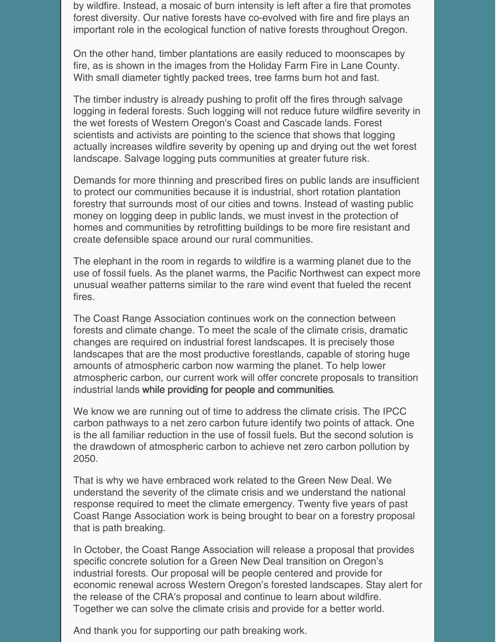by wildfire. Instead, a mosaic of burn intensity is left after a fire that promotes forest diversity. Our native forests have co-evolved with fire and fire plays an important role in the ecological function of native forests throughout Oregon.

On the other hand, timber plantations are easily reduced to moonscapes by fire, as is shown in the images from the Holiday Farm Fire in Lane County. With small diameter tightly packed trees, tree farms burn hot and fast.

The timber industry is already pushing to profit off the fires through salvage logging in federal forests. Such logging will not reduce future wildfire severity in the wet forests of Western Oregon's Coast and Cascade lands. Forest scientists and activists are pointing to the science that shows that logging actually increases wildfire severity by opening up and drying out the wet forest landscape. Salvage logging puts communities at greater future risk.

Demands for more thinning and prescribed fires on public lands are insufficient to protect our communities because it is industrial, short rotation plantation forestry that surrounds most of our cities and towns. Instead of wasting public money on logging deep in public lands, we must invest in the protection of homes and communities by retrofitting buildings to be more fire resistant and create defensible space around our rural communities.

The elephant in the room in regards to wildfire is a warming planet due to the use of fossil fuels. As the planet warms, the Pacific Northwest can expect more unusual weather patterns similar to the rare wind event that fueled the recent fires.

The Coast Range Association continues work on the connection between forests and climate change. To meet the scale of the climate crisis, dramatic changes are required on industrial forest landscapes. It is precisely those landscapes that are the most productive forestlands, capable of storing huge amounts of atmospheric carbon now warming the planet. To help lower atmospheric carbon, our current work will offer concrete proposals to transition industrial lands while providing for people and communities.

We know we are running out of time to address the climate crisis. The IPCC carbon pathways to a net zero carbon future identify two points of attack. One is the all familiar reduction in the use of fossil fuels. But the second solution is the drawdown of atmospheric carbon to achieve net zero carbon pollution by 2050.

That is why we have embraced work related to the Green New Deal. We understand the severity of the climate crisis and we understand the national response required to meet the climate emergency. Twenty five years of past Coast Range Association work is being brought to bear on a forestry proposal that is path breaking.

In October, the Coast Range Association will release a proposal that provides specific concrete solution for a Green New Deal transition on Oregon's industrial forests. Our proposal will be people centered and provide for economic renewal across Western Oregon's forested landscapes. Stay alert for the release of the CRA's proposal and continue to learn about wildfire. Together we can solve the climate crisis and provide for a better world.

And thank you for supporting our path breaking work.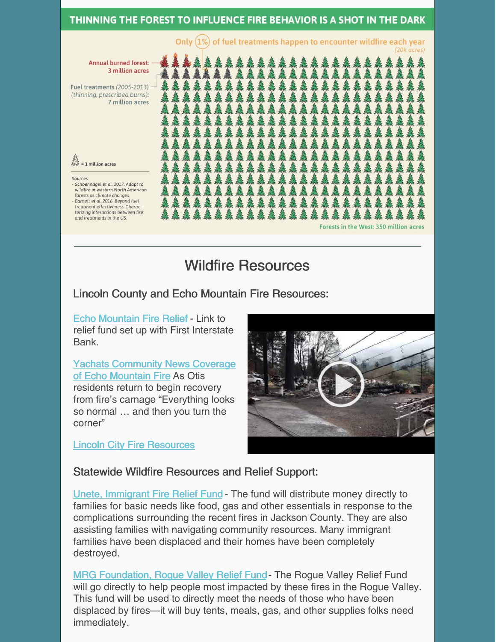#### THINNING THE FOREST TO INFLUENCE FIRE BEHAVIOR IS A SHOT IN THE DARK

Only (1%) of fuel treatments happen to encounter wildfire each year

Annual burned forest: 3 million acres

Fuel treatments (2005-2013) -(thinning, prescribed burns): 7 million acres

 $\frac{3}{2}$ <br> $\frac{3}{2}$  = 1 million acres

Sources: Schoennagel et al. 2017. Adapt to wildfire in western North American forests as climate changes. Barnett et al. 2016. Beyond fuel treatment effectiveness: Characterizing interactions between fire and treatments in the US.

Forests in the West: 350 million acres

Wildfire Resources

# Lincoln County and Echo Mountain Fire Resources:

Echo [Mountain](https://www.facebook.com/Echo-Mountain-Fire-Relief-109343664251473/?ref=page_internal) Fire Relief - Link to relief fund set up with First Interstate Bank.

**Yachats [Community](https://yachatsnews.com/echo-mountain-fire-as-otis-residents-return-to-inspect-the-carnage-everything-looks-so-normal-and-then-you-turn-the-corner/) News Coverage** of Echo Mountain Fire As Otis residents return to begin recovery from fire's carnage "Everything looks so normal … and then you turn the corner"

Lincoln City Fire [Resources](https://www.lincolncity.org/?SEC=26F6CE11-8668-45FA-9437-D7383FE72B62)



### Statewide Wildfire Resources and Relief Support:

Unete, [Immigrant](http://uneteoregon.org) Fire Relief Fund - The fund will distribute money directly to families for basic needs like food, gas and other essentials in response to the complications surrounding the recent fires in Jackson County. They are also assisting families with navigating community resources. Many immigrant families have been displaced and their homes have been completely destroyed.

MRG [Foundation,](https://www.mrgfoundation.org/rogue-valley-relief-fund1/) Rogue Valley Relief Fund- The Rogue Valley Relief Fund will go directly to help people most impacted by these fires in the Rogue Valley. This fund will be used to directly meet the needs of those who have been displaced by fires—it will buy tents, meals, gas, and other supplies folks need immediately.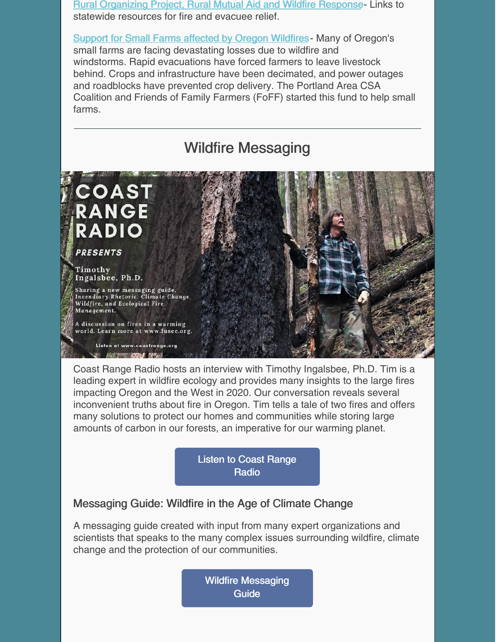Rural [Organizing](https://rop.org/update/rural-mutual-aid-and-wildfire-response/) Project, Rural Mutual Aid and Wildfire Response- Links to statewide resources for fire and evacuee relief.

Support for Small Farms [affected](https://charity.gofundme.com/o/en/campaign/small-farms-affected-by-oregon-wildfires) by Oregon Wildfires- Many of Oregon's small farms are facing devastating losses due to wildfire and windstorms. Rapid evacuations have forced farmers to leave livestock behind. Crops and infrastructure have been decimated, and power outages and roadblocks have prevented crop delivery. The Portland Area CSA Coalition and Friends of Family Farmers (FoFF) started this fund to help small farms.



Coast Range Radio hosts an interview with Timothy Ingalsbee, Ph.D. Tim is a leading expert in wildfire ecology and provides many insights to the large fires impacting Oregon and the West in 2020. Our conversation reveals several inconvenient truths about fire in Oregon. Tim tells a tale of two fires and offers many solutions to protect our homes and communities while storing large amounts of carbon in our forests, an imperative for our warming planet.

> Listen to Coast [Range](https://coastrange.org/coast-range-radio/) **Radio**

## Messaging Guide: Wildfire in the Age of Climate Change

A messaging guide created with input from many expert organizations and scientists that speaks to the many complex issues surrounding wildfire, climate change and the protection of our communities.

> Wildfire [Messaging](https://www.cascwild.org/wp-content/uploads/2019/07/Final_WildfireMessagingGuide_WEB_July2019.pdf) **Guide**